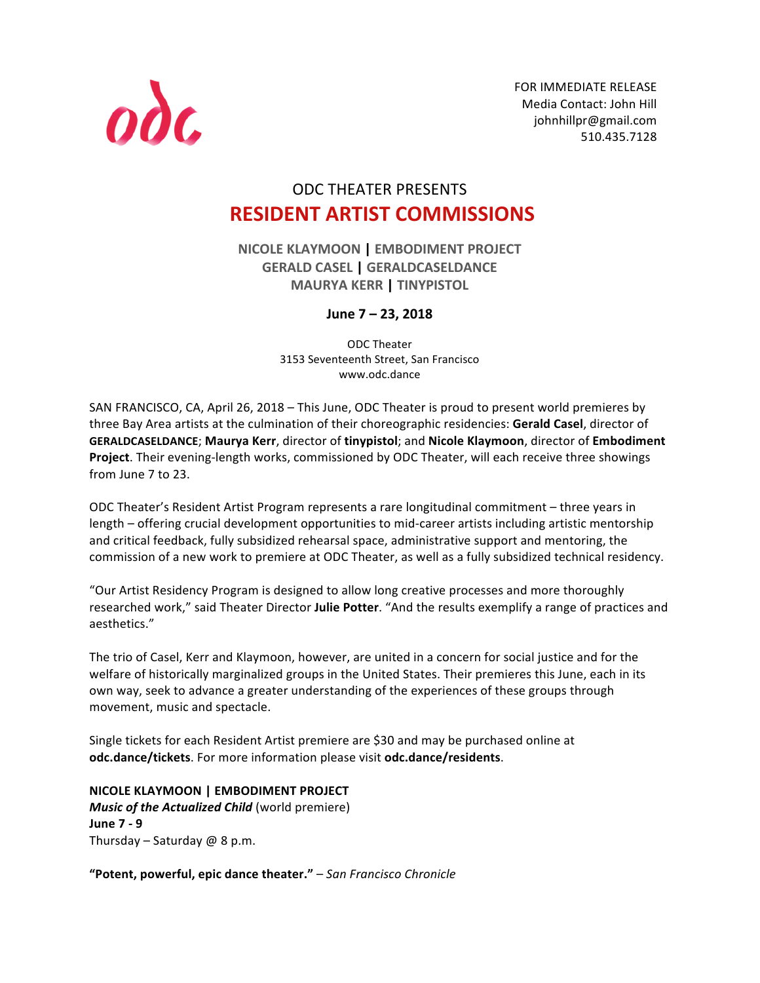

FOR IMMEDIATE RELEASE Media Contact: John Hill johnhillpr@gmail.com 510.435.7128 

# ODC THEATER PRESENTS **RESIDENT ARTIST COMMISSIONS**

**NICOLE KLAYMOON | EMBODIMENT PROJECT GERALD CASEL | GERALDCASELDANCE MAURYA KERR | TINYPISTOL**

# **June 7 – 23, 2018**

ODC Theater 3153 Seventeenth Street, San Francisco www.odc.dance

SAN FRANCISCO, CA, April 26, 2018 – This June, ODC Theater is proud to present world premieres by three Bay Area artists at the culmination of their choreographic residencies: Gerald Casel, director of **GERALDCASELDANCE**; **Maurya Kerr**, director of **tinypistol**; and **Nicole Klaymoon**, director of **Embodiment**  Project. Their evening-length works, commissioned by ODC Theater, will each receive three showings from June 7 to 23.

ODC Theater's Resident Artist Program represents a rare longitudinal commitment – three years in length – offering crucial development opportunities to mid-career artists including artistic mentorship and critical feedback, fully subsidized rehearsal space, administrative support and mentoring, the commission of a new work to premiere at ODC Theater, as well as a fully subsidized technical residency.

"Our Artist Residency Program is designed to allow long creative processes and more thoroughly researched work," said Theater Director Julie Potter. "And the results exemplify a range of practices and aesthetics." 

The trio of Casel, Kerr and Klaymoon, however, are united in a concern for social justice and for the welfare of historically marginalized groups in the United States. Their premieres this June, each in its own way, seek to advance a greater understanding of the experiences of these groups through movement, music and spectacle.

Single tickets for each Resident Artist premiere are \$30 and may be purchased online at **odc.dance/tickets**. For more information please visit **odc.dance/residents**.

**NICOLE KLAYMOON | EMBODIMENT PROJECT** *Music of the Actualized Child* (world premiere) **June 7 - 9** Thursday – Saturday  $@$  8 p.m.

"Potent, powerful, epic dance theater." – San Francisco Chronicle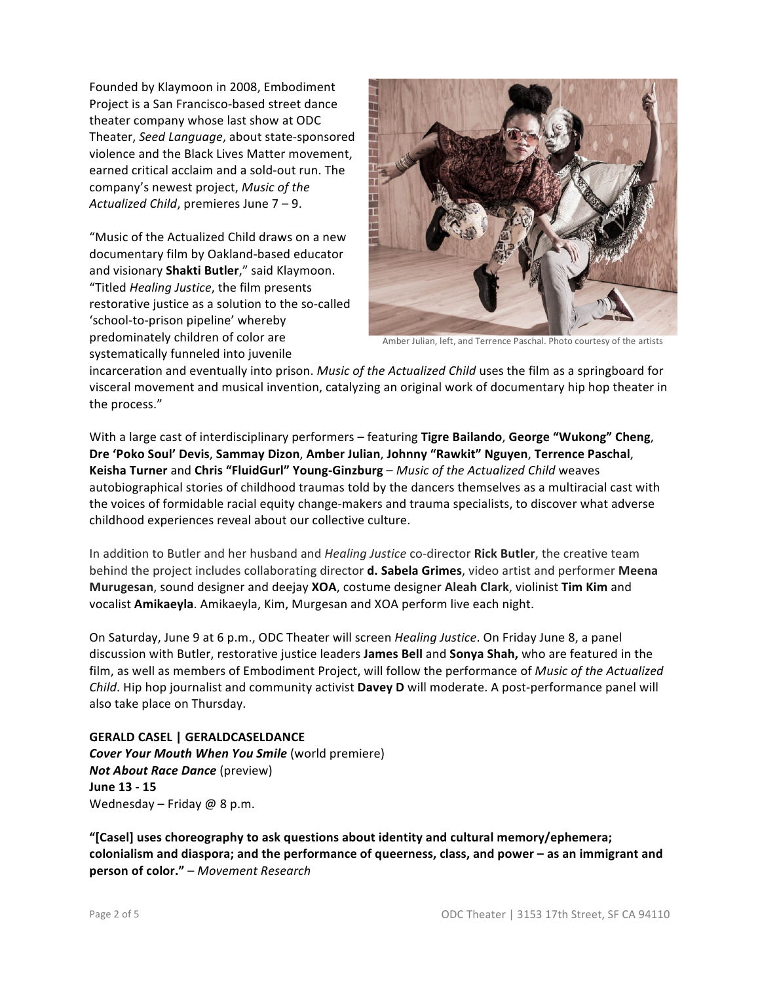Founded by Klaymoon in 2008, Embodiment Project is a San Francisco-based street dance theater company whose last show at ODC Theater, Seed Language, about state-sponsored violence and the Black Lives Matter movement. earned critical acclaim and a sold-out run. The company's newest project, Music of the Actualized Child, premieres June 7 - 9.

"Music of the Actualized Child draws on a new documentary film by Oakland-based educator and visionary Shakti Butler," said Klaymoon. "Titled *Healing Justice*, the film presents restorative justice as a solution to the so-called 'school-to-prison pipeline' whereby predominately children of color are systematically funneled into juvenile



Amber Julian, left, and Terrence Paschal. Photo courtesy of the artists

incarceration and eventually into prison. *Music of the Actualized Child* uses the film as a springboard for visceral movement and musical invention, catalyzing an original work of documentary hip hop theater in the process."

With a large cast of interdisciplinary performers - featuring Tigre Bailando, George "Wukong" Cheng, **Dre 'Poko Soul' Devis**, **Sammay Dizon**, **Amber Julian**, **Johnny "Rawkit" Nguyen**, **Terrence Paschal**, Keisha Turner and Chris "FluidGurl" Young-Ginzburg - Music of the Actualized Child weaves autobiographical stories of childhood traumas told by the dancers themselves as a multiracial cast with the voices of formidable racial equity change-makers and trauma specialists, to discover what adverse childhood experiences reveal about our collective culture.

In addition to Butler and her husband and *Healing Justice* co-director **Rick Butler**, the creative team behind the project includes collaborating director **d. Sabela Grimes**, video artist and performer Meena **Murugesan**, sound designer and deejay **XOA**, costume designer Aleah Clark, violinist Tim Kim and vocalist **Amikaeyla**. Amikaeyla, Kim, Murgesan and XOA perform live each night.

On Saturday, June 9 at 6 p.m., ODC Theater will screen *Healing Justice*. On Friday June 8, a panel discussion with Butler, restorative justice leaders James Bell and Sonya Shah, who are featured in the film, as well as members of Embodiment Project, will follow the performance of *Music* of the Actualized *Child*. Hip hop journalist and community activist **Davey D** will moderate. A post-performance panel will also take place on Thursday.

**GERALD CASEL | GERALDCASELDANCE** *Cover Your Mouth When You Smile* (world premiere) *Not About Race Dance* (preview) **June 13 - 15** Wednesday – Friday  $@$  8 p.m.

"[Casel] uses choreography to ask questions about identity and cultural memory/ephemera; colonialism and diaspora; and the performance of queerness, class, and power - as an immigrant and **person of color."** – Movement Research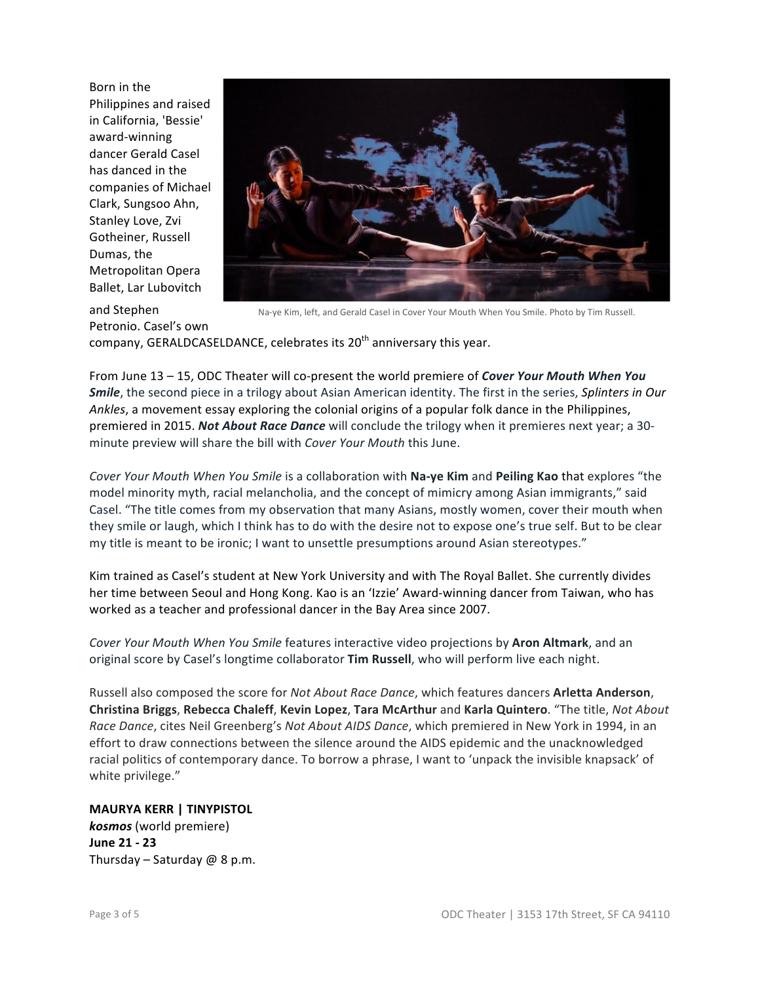Born in the Philippines and raised in California, 'Bessie' award-winning dancer Gerald Casel has danced in the companies of Michael Clark, Sungsoo Ahn, Stanley Love, Zvi Gotheiner, Russell Dumas, the Metropolitan Opera Ballet, Lar Lubovitch



and Stephen Petronio. Casel's own

Na-ye Kim, left, and Gerald Casel in Cover Your Mouth When You Smile. Photo by Tim Russell.

company, GERALDCASELDANCE, celebrates its 20<sup>th</sup> anniversary this year.

From June 13 - 15, ODC Theater will co-present the world premiere of *Cover Your Mouth When You Smile*, the second piece in a trilogy about Asian American identity. The first in the series, *Splinters in Our Ankles*, a movement essay exploring the colonial origins of a popular folk dance in the Philippines, premiered in 2015. *Not About Race Dance* will conclude the trilogy when it premieres next year; a 30minute preview will share the bill with *Cover Your Mouth* this June.

*Cover Your Mouth When You Smile* is a collaboration with **Na-ye Kim** and **Peiling Kao** that explores "the model minority myth, racial melancholia, and the concept of mimicry among Asian immigrants," said Casel. "The title comes from my observation that many Asians, mostly women, cover their mouth when they smile or laugh, which I think has to do with the desire not to expose one's true self. But to be clear my title is meant to be ironic; I want to unsettle presumptions around Asian stereotypes."

Kim trained as Casel's student at New York University and with The Royal Ballet. She currently divides her time between Seoul and Hong Kong. Kao is an 'Izzie' Award-winning dancer from Taiwan, who has worked as a teacher and professional dancer in the Bay Area since 2007.

*Cover Your Mouth When You Smile* features interactive video projections by **Aron Altmark**, and an original score by Casel's longtime collaborator **Tim Russell**, who will perform live each night.

Russell also composed the score for *Not About Race Dance*, which features dancers **Arletta Anderson**, **Christina Briggs**, **Rebecca Chaleff**, **Kevin Lopez**, **Tara McArthur** and **Karla Quintero**. "The title, *Not About Race Dance*, cites Neil Greenberg's *Not About AIDS Dance*, which premiered in New York in 1994, in an effort to draw connections between the silence around the AIDS epidemic and the unacknowledged racial politics of contemporary dance. To borrow a phrase, I want to 'unpack the invisible knapsack' of white privilege."

**MAURYA KERR | TINYPISTOL kosmos** (world premiere) **June 21 - 23** Thursday – Saturday  $@$  8 p.m.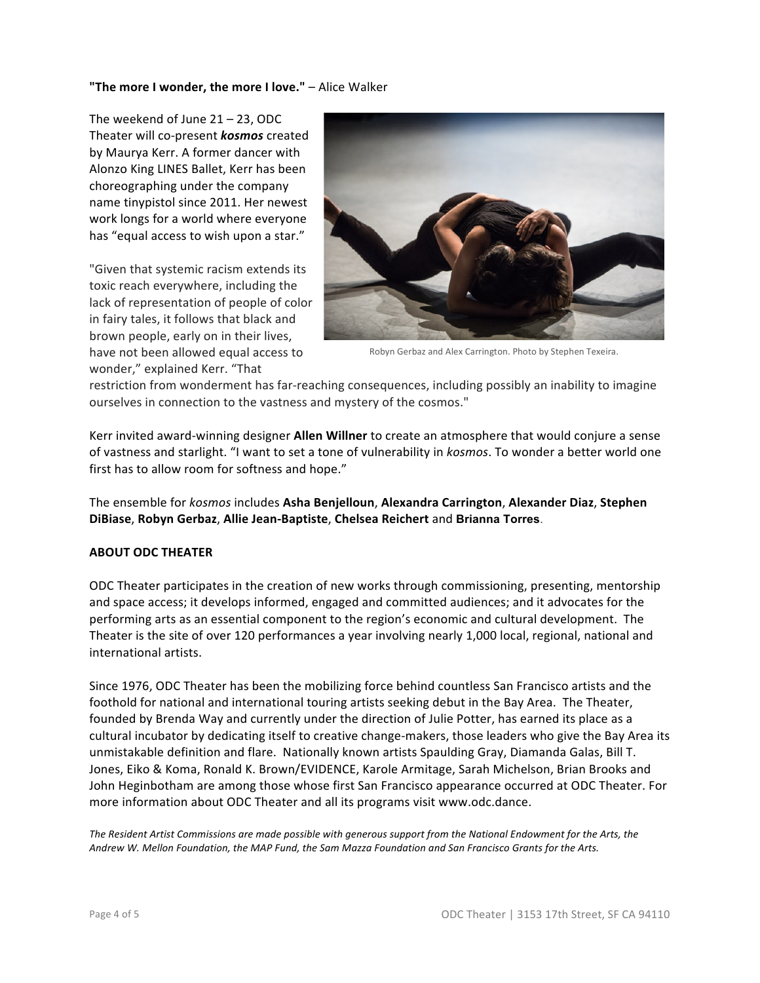#### "The more I wonder, the more I love." - Alice Walker

The weekend of June  $21 - 23$ , ODC Theater will co-present **kosmos** created by Maurya Kerr. A former dancer with Alonzo King LINES Ballet, Kerr has been choreographing under the company name tinypistol since 2011. Her newest work longs for a world where everyone has "equal access to wish upon a star."

"Given that systemic racism extends its toxic reach everywhere, including the lack of representation of people of color in fairy tales, it follows that black and brown people, early on in their lives, have not been allowed equal access to wonder," explained Kerr. "That



Robyn Gerbaz and Alex Carrington. Photo by Stephen Texeira.

restriction from wonderment has far-reaching consequences, including possibly an inability to imagine ourselves in connection to the vastness and mystery of the cosmos."

Kerr invited award-winning designer Allen Willner to create an atmosphere that would conjure a sense of vastness and starlight. "I want to set a tone of vulnerability in *kosmos*. To wonder a better world one first has to allow room for softness and hope."

The ensemble for *kosmos* includes Asha Benjelloun, Alexandra Carrington, Alexander Diaz, Stephen **DiBiase**, **Robyn Gerbaz**, **Allie Jean-Baptiste**, **Chelsea Reichert** and **Brianna Torres**.

### **ABOUT ODC THEATER**

ODC Theater participates in the creation of new works through commissioning, presenting, mentorship and space access; it develops informed, engaged and committed audiences; and it advocates for the performing arts as an essential component to the region's economic and cultural development. The Theater is the site of over 120 performances a year involving nearly 1,000 local, regional, national and international artists.

Since 1976, ODC Theater has been the mobilizing force behind countless San Francisco artists and the foothold for national and international touring artists seeking debut in the Bay Area. The Theater, founded by Brenda Way and currently under the direction of Julie Potter, has earned its place as a cultural incubator by dedicating itself to creative change-makers, those leaders who give the Bay Area its unmistakable definition and flare. Nationally known artists Spaulding Gray, Diamanda Galas, Bill T. Jones, Eiko & Koma, Ronald K. Brown/EVIDENCE, Karole Armitage, Sarah Michelson, Brian Brooks and John Heginbotham are among those whose first San Francisco appearance occurred at ODC Theater. For more information about ODC Theater and all its programs visit www.odc.dance.

The Resident Artist Commissions are made possible with generous support from the National Endowment for the Arts, the *Andrew W. Mellon Foundation, the MAP Fund, the Sam Mazza Foundation and San Francisco Grants for the Arts.*